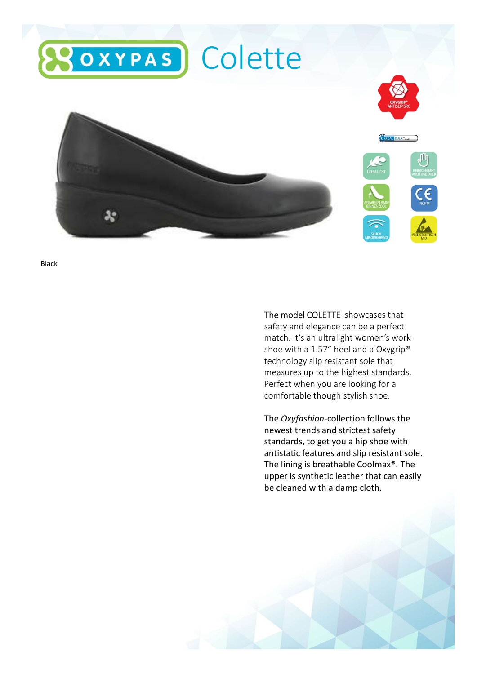

Black

The model COLETTE showcases that safety and elegance can be a perfect match. It's an ultralight women's work shoe with a 1.57" heel and a Oxygrip® technology slip resistant sole that measures up to the highest standards. Perfect when you are looking for a comfortable though stylish shoe.

The Oxyfashion-collection follows the newest trends and strictest safety standards, to get you a hip shoe with antistatic features and slip resistant sole. The lining is breathable Coolmax®. The upper is synthetic leather that can easily be cleaned with a damp cloth.